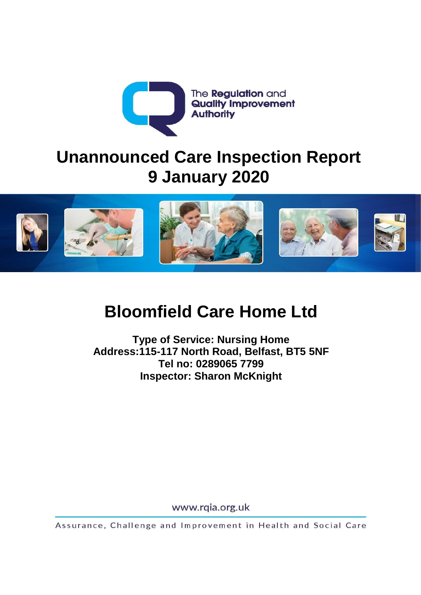

# **Unannounced Care Inspection Report 9 January 2020**



# **Bloomfield Care Home Ltd**

**Type of Service: Nursing Home Address:115-117 North Road, Belfast, BT5 5NF Tel no: 0289065 7799 Inspector: Sharon McKnight** 

www.rqia.org.uk

Assurance, Challenge and Improvement in Health and Social Care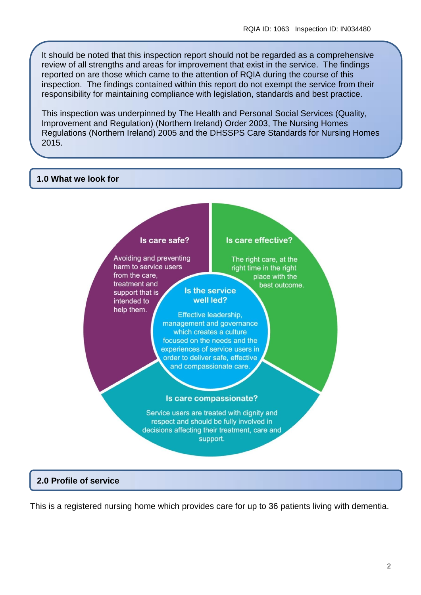It should be noted that this inspection report should not be regarded as a comprehensive review of all strengths and areas for improvement that exist in the service. The findings reported on are those which came to the attention of RQIA during the course of this inspection. The findings contained within this report do not exempt the service from their responsibility for maintaining compliance with legislation, standards and best practice.

This inspection was underpinned by The Health and Personal Social Services (Quality, Improvement and Regulation) (Northern Ireland) Order 2003, The Nursing Homes Regulations (Northern Ireland) 2005 and the DHSSPS Care Standards for Nursing Homes 2015.

#### **1.0 What we look for**



# **2.0 Profile of service**

This is a registered nursing home which provides care for up to 36 patients living with dementia.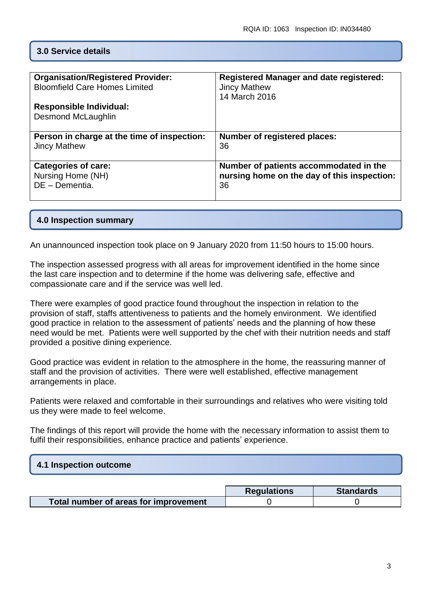#### **3.0 Service details**

| <b>Organisation/Registered Provider:</b>                    | <b>Registered Manager and date registered:</b> |
|-------------------------------------------------------------|------------------------------------------------|
| <b>Bloomfield Care Homes Limited</b>                        | <b>Jincy Mathew</b>                            |
| <b>Responsible Individual:</b><br><b>Desmond McLaughlin</b> | 14 March 2016                                  |
|                                                             |                                                |
| Person in charge at the time of inspection:                 | <b>Number of registered places:</b>            |
| <b>Jincy Mathew</b>                                         | 36                                             |
| <b>Categories of care:</b>                                  | Number of patients accommodated in the         |
| Nursing Home (NH)                                           | nursing home on the day of this inspection:    |
| DE - Dementia.                                              | 36                                             |

#### **4.0 Inspection summary**

An unannounced inspection took place on 9 January 2020 from 11:50 hours to 15:00 hours.

The inspection assessed progress with all areas for improvement identified in the home since the last care inspection and to determine if the home was delivering safe, effective and compassionate care and if the service was well led.

There were examples of good practice found throughout the inspection in relation to the provision of staff, staffs attentiveness to patients and the homely environment. We identified good practice in relation to the assessment of patients' needs and the planning of how these need would be met. Patients were well supported by the chef with their nutrition needs and staff provided a positive dining experience.

Good practice was evident in relation to the atmosphere in the home, the reassuring manner of staff and the provision of activities. There were well established, effective management arrangements in place.

Patients were relaxed and comfortable in their surroundings and relatives who were visiting told us they were made to feel welcome.

The findings of this report will provide the home with the necessary information to assist them to fulfil their responsibilities, enhance practice and patients' experience.

# **4.1 Inspection outcome**

|                                       | <b>Requlations</b> | <b>Standards</b> |
|---------------------------------------|--------------------|------------------|
| Total number of areas for improvement |                    |                  |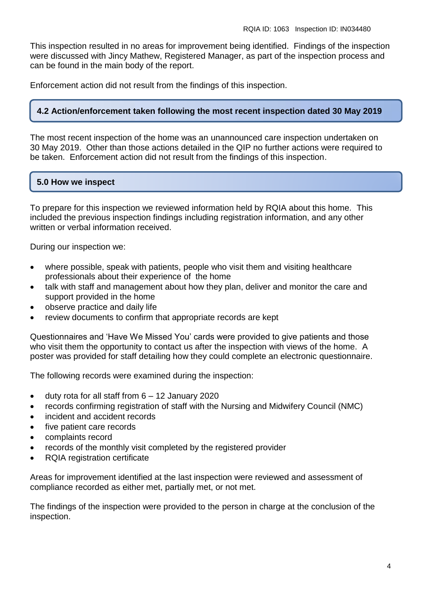This inspection resulted in no areas for improvement being identified. Findings of the inspection were discussed with Jincy Mathew, Registered Manager, as part of the inspection process and can be found in the main body of the report.

Enforcement action did not result from the findings of this inspection.

#### **4.2 Action/enforcement taken following the most recent inspection dated 30 May 2019**

The most recent inspection of the home was an unannounced care inspection undertaken on 30 May 2019. Other than those actions detailed in the QIP no further actions were required to be taken. Enforcement action did not result from the findings of this inspection.

# **5.0 How we inspect**

To prepare for this inspection we reviewed information held by RQIA about this home. This included the previous inspection findings including registration information, and any other written or verbal information received.

During our inspection we:

- where possible, speak with patients, people who visit them and visiting healthcare professionals about their experience of the home
- talk with staff and management about how they plan, deliver and monitor the care and support provided in the home
- observe practice and daily life
- review documents to confirm that appropriate records are kept

Questionnaires and 'Have We Missed You' cards were provided to give patients and those who visit them the opportunity to contact us after the inspection with views of the home. A poster was provided for staff detailing how they could complete an electronic questionnaire.

The following records were examined during the inspection:

- $\bullet$  duty rota for all staff from  $6 12$  January 2020
- records confirming registration of staff with the Nursing and Midwifery Council (NMC)
- incident and accident records
- five patient care records
- complaints record
- records of the monthly visit completed by the registered provider
- RQIA registration certificate

Areas for improvement identified at the last inspection were reviewed and assessment of compliance recorded as either met, partially met, or not met.

The findings of the inspection were provided to the person in charge at the conclusion of the inspection.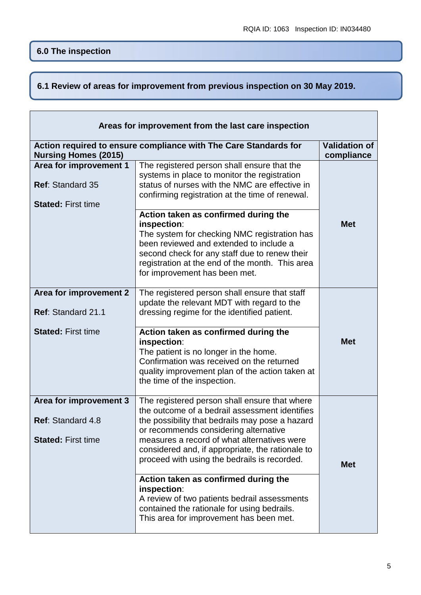$\overline{1}$ 

# **6.1 Review of areas for improvement from previous inspection on 30 May 2019.**

| Areas for improvement from the last care inspection                            |                                                                                                                                                                                                                                                                                                                                                |                                    |
|--------------------------------------------------------------------------------|------------------------------------------------------------------------------------------------------------------------------------------------------------------------------------------------------------------------------------------------------------------------------------------------------------------------------------------------|------------------------------------|
| <b>Nursing Homes (2015)</b>                                                    | Action required to ensure compliance with The Care Standards for                                                                                                                                                                                                                                                                               | <b>Validation of</b><br>compliance |
| Area for improvement 1<br><b>Ref: Standard 35</b><br><b>Stated: First time</b> | The registered person shall ensure that the<br>systems in place to monitor the registration<br>status of nurses with the NMC are effective in<br>confirming registration at the time of renewal.                                                                                                                                               |                                    |
|                                                                                | Action taken as confirmed during the<br>inspection:<br>The system for checking NMC registration has<br>been reviewed and extended to include a<br>second check for any staff due to renew their<br>registration at the end of the month. This area<br>for improvement has been met.                                                            | <b>Met</b>                         |
| Area for improvement 2<br>Ref: Standard 21.1                                   | The registered person shall ensure that staff<br>update the relevant MDT with regard to the<br>dressing regime for the identified patient.                                                                                                                                                                                                     |                                    |
| <b>Stated: First time</b>                                                      | Action taken as confirmed during the<br>inspection:<br>The patient is no longer in the home.<br>Confirmation was received on the returned<br>quality improvement plan of the action taken at<br>the time of the inspection.                                                                                                                    | <b>Met</b>                         |
| Area for improvement 3<br>Ref: Standard 4.8<br><b>Stated: First time</b>       | The registered person shall ensure that where<br>the outcome of a bedrail assessment identifies<br>the possibility that bedrails may pose a hazard<br>or recommends considering alternative<br>measures a record of what alternatives were<br>considered and, if appropriate, the rationale to<br>proceed with using the bedrails is recorded. | <b>Met</b>                         |
|                                                                                | Action taken as confirmed during the<br>inspection:<br>A review of two patients bedrail assessments<br>contained the rationale for using bedrails.<br>This area for improvement has been met.                                                                                                                                                  |                                    |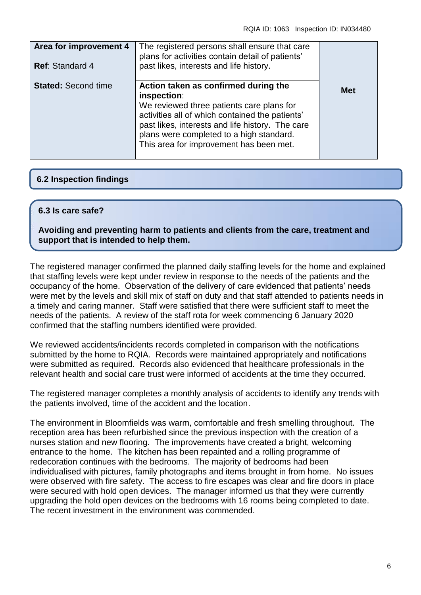| Area for improvement 4<br><b>Ref: Standard 4</b> | The registered persons shall ensure that care<br>plans for activities contain detail of patients'<br>past likes, interests and life history.                                                                                                                                                   |            |
|--------------------------------------------------|------------------------------------------------------------------------------------------------------------------------------------------------------------------------------------------------------------------------------------------------------------------------------------------------|------------|
| <b>Stated: Second time</b>                       | Action taken as confirmed during the<br>inspection:<br>We reviewed three patients care plans for<br>activities all of which contained the patients'<br>past likes, interests and life history. The care<br>plans were completed to a high standard.<br>This area for improvement has been met. | <b>Met</b> |

# **6.2 Inspection findings**

#### **6.3 Is care safe?**

**Avoiding and preventing harm to patients and clients from the care, treatment and support that is intended to help them.**

The registered manager confirmed the planned daily staffing levels for the home and explained that staffing levels were kept under review in response to the needs of the patients and the occupancy of the home. Observation of the delivery of care evidenced that patients' needs were met by the levels and skill mix of staff on duty and that staff attended to patients needs in a timely and caring manner. Staff were satisfied that there were sufficient staff to meet the needs of the patients. A review of the staff rota for week commencing 6 January 2020 confirmed that the staffing numbers identified were provided.

We reviewed accidents/incidents records completed in comparison with the notifications submitted by the home to RQIA. Records were maintained appropriately and notifications were submitted as required. Records also evidenced that healthcare professionals in the relevant health and social care trust were informed of accidents at the time they occurred.

The registered manager completes a monthly analysis of accidents to identify any trends with the patients involved, time of the accident and the location.

The environment in Bloomfields was warm, comfortable and fresh smelling throughout. The reception area has been refurbished since the previous inspection with the creation of a nurses station and new flooring. The improvements have created a bright, welcoming entrance to the home. The kitchen has been repainted and a rolling programme of redecoration continues with the bedrooms. The majority of bedrooms had been individualised with pictures, family photographs and items brought in from home. No issues were observed with fire safety. The access to fire escapes was clear and fire doors in place were secured with hold open devices. The manager informed us that they were currently upgrading the hold open devices on the bedrooms with 16 rooms being completed to date. The recent investment in the environment was commended.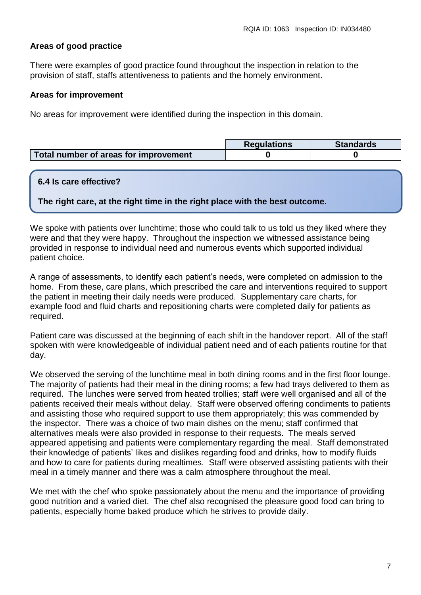# **Areas of good practice**

There were examples of good practice found throughout the inspection in relation to the provision of staff, staffs attentiveness to patients and the homely environment.

#### **Areas for improvement**

No areas for improvement were identified during the inspection in this domain.

|                                       | <b>Requlations</b> | <b>Standards</b> |
|---------------------------------------|--------------------|------------------|
| Total number of areas for improvement |                    |                  |

#### **6.4 Is care effective?**

**The right care, at the right time in the right place with the best outcome.**

We spoke with patients over lunchtime; those who could talk to us told us they liked where they were and that they were happy. Throughout the inspection we witnessed assistance being provided in response to individual need and numerous events which supported individual patient choice.

A range of assessments, to identify each patient's needs, were completed on admission to the home. From these, care plans, which prescribed the care and interventions required to support the patient in meeting their daily needs were produced. Supplementary care charts, for example food and fluid charts and repositioning charts were completed daily for patients as required.

Patient care was discussed at the beginning of each shift in the handover report. All of the staff spoken with were knowledgeable of individual patient need and of each patients routine for that day.

We observed the serving of the lunchtime meal in both dining rooms and in the first floor lounge. The majority of patients had their meal in the dining rooms; a few had trays delivered to them as required. The lunches were served from heated trollies; staff were well organised and all of the patients received their meals without delay. Staff were observed offering condiments to patients and assisting those who required support to use them appropriately; this was commended by the inspector. There was a choice of two main dishes on the menu; staff confirmed that alternatives meals were also provided in response to their requests. The meals served appeared appetising and patients were complementary regarding the meal. Staff demonstrated their knowledge of patients' likes and dislikes regarding food and drinks, how to modify fluids and how to care for patients during mealtimes. Staff were observed assisting patients with their meal in a timely manner and there was a calm atmosphere throughout the meal.

We met with the chef who spoke passionately about the menu and the importance of providing good nutrition and a varied diet. The chef also recognised the pleasure good food can bring to patients, especially home baked produce which he strives to provide daily.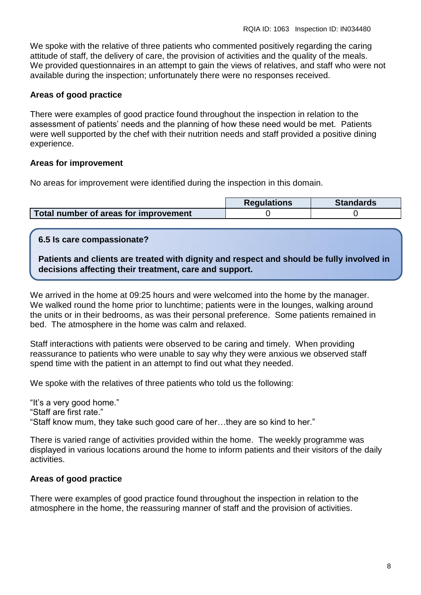We spoke with the relative of three patients who commented positively regarding the caring attitude of staff, the delivery of care, the provision of activities and the quality of the meals. We provided questionnaires in an attempt to gain the views of relatives, and staff who were not available during the inspection; unfortunately there were no responses received.

#### **Areas of good practice**

There were examples of good practice found throughout the inspection in relation to the assessment of patients' needs and the planning of how these need would be met. Patients were well supported by the chef with their nutrition needs and staff provided a positive dining experience.

#### **Areas for improvement**

No areas for improvement were identified during the inspection in this domain.

|                                       | <b>Requlations</b> | <b>Standards</b> |
|---------------------------------------|--------------------|------------------|
| Total number of areas for improvement |                    |                  |

#### **6.5 Is care compassionate?**

**Patients and clients are treated with dignity and respect and should be fully involved in decisions affecting their treatment, care and support.**

We arrived in the home at 09:25 hours and were welcomed into the home by the manager. We walked round the home prior to lunchtime; patients were in the lounges, walking around the units or in their bedrooms, as was their personal preference. Some patients remained in bed. The atmosphere in the home was calm and relaxed.

Staff interactions with patients were observed to be caring and timely. When providing reassurance to patients who were unable to say why they were anxious we observed staff spend time with the patient in an attempt to find out what they needed.

We spoke with the relatives of three patients who told us the following:

"It's a very good home." "Staff are first rate." "Staff know mum, they take such good care of her…they are so kind to her."

There is varied range of activities provided within the home. The weekly programme was displayed in various locations around the home to inform patients and their visitors of the daily activities.

# **Areas of good practice**

There were examples of good practice found throughout the inspection in relation to the atmosphere in the home, the reassuring manner of staff and the provision of activities.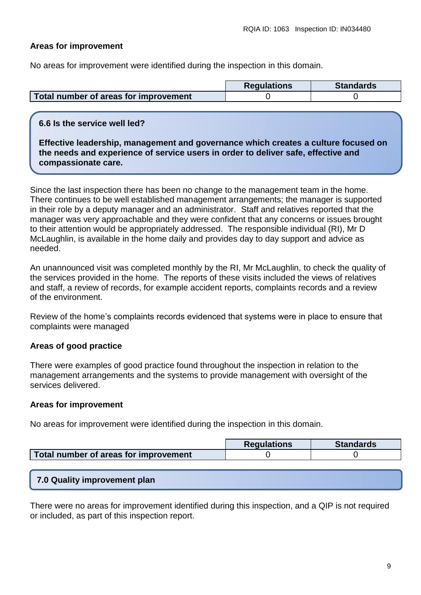# **Areas for improvement**

No areas for improvement were identified during the inspection in this domain.

|                                       | <b>Regulations</b> | <b>Standards</b> |
|---------------------------------------|--------------------|------------------|
| Total number of areas for improvement |                    |                  |

# **6.6 Is the service well led?**

**Effective leadership, management and governance which creates a culture focused on the needs and experience of service users in order to deliver safe, effective and compassionate care.**

Since the last inspection there has been no change to the management team in the home. There continues to be well established management arrangements; the manager is supported in their role by a deputy manager and an administrator. Staff and relatives reported that the manager was very approachable and they were confident that any concerns or issues brought to their attention would be appropriately addressed. The responsible individual (RI), Mr D McLaughlin, is available in the home daily and provides day to day support and advice as needed.

An unannounced visit was completed monthly by the RI, Mr McLaughlin, to check the quality of the services provided in the home. The reports of these visits included the views of relatives and staff, a review of records, for example accident reports, complaints records and a review of the environment.

Review of the home's complaints records evidenced that systems were in place to ensure that complaints were managed

# **Areas of good practice**

There were examples of good practice found throughout the inspection in relation to the management arrangements and the systems to provide management with oversight of the services delivered.

# **Areas for improvement**

No areas for improvement were identified during the inspection in this domain.

|                                       | <b>Regulations</b> | <b>Standards</b> |
|---------------------------------------|--------------------|------------------|
| Total number of areas for improvement |                    |                  |

# **7.0 Quality improvement plan**

There were no areas for improvement identified during this inspection, and a QIP is not required or included, as part of this inspection report.